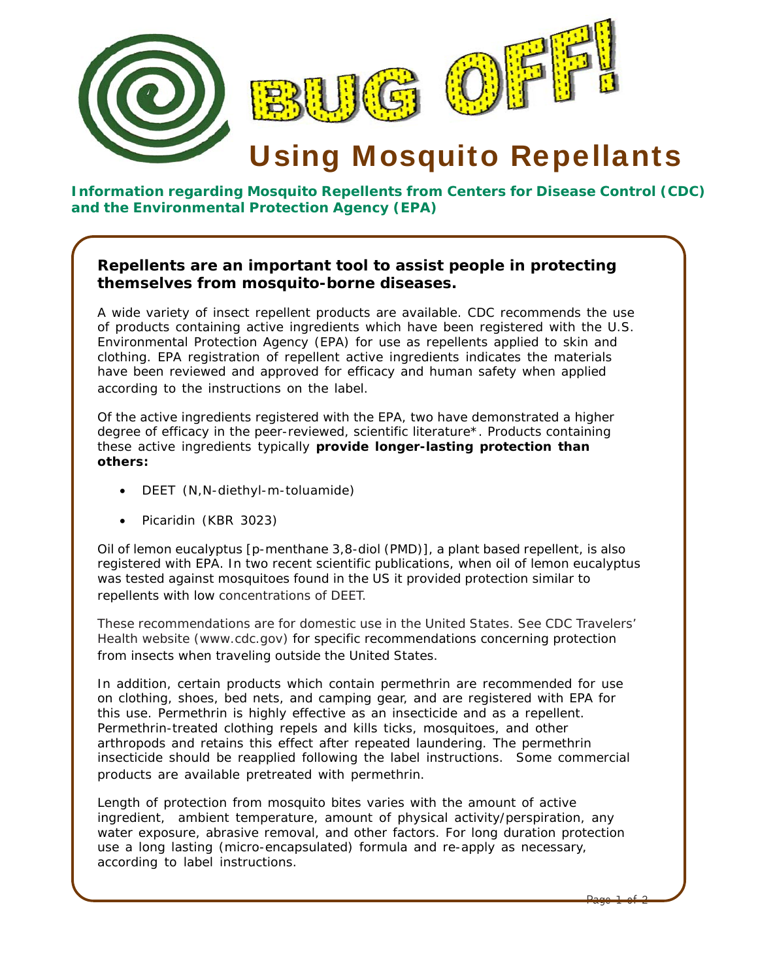

## **Information regarding Mosquito Repellents from Centers for Disease Control (CDC) and the Environmental Protection Agency (EPA)**

## **Repellents are an important tool to assist people in protecting themselves from mosquito-borne diseases.**

A wide variety of insect repellent products are available. CDC recommends the use of products containing active ingredients which have been registered with the U.S. Environmental Protection Agency (EPA) for use as repellents applied to skin and clothing. EPA registration of repellent active ingredients indicates the materials have been reviewed and approved for efficacy and human safety when applied according to the instructions on the label.

Of the active ingredients registered with the EPA, two have demonstrated a higher degree of efficacy in the peer-reviewed, scientific literature\*. Products containing these active ingredients typically **provide longer-lasting protection than others:**

- DEET (N, N-diethyl-m-toluamide)
- Picaridin (KBR 3023)

Oil of lemon eucalyptus [p-menthane 3,8-diol (PMD)], a plant based repellent, is also registered with EPA. In two recent scientific publications, when oil of lemon eucalyptus was tested against mosquitoes found in the US it provided protection similar to repellents with low concentrations of DEET.

These recommendations are for domestic use in the United States. See CDC Travelers' Health website (www.cdc.gov) for specific recommendations concerning protection from insects when traveling outside the United States.

In addition, certain products which contain permethrin are recommended for use on clothing, shoes, bed nets, and camping gear, and are registered with EPA for this use. Permethrin is highly effective as an insecticide and as a repellent. Permethrin-treated clothing repels and kills ticks, mosquitoes, and other arthropods and retains this effect after repeated laundering. The permethrin insecticide should be reapplied following the label instructions. Some commercial products are available pretreated with permethrin.

Length of protection from mosquito bites varies with the amount of active ingredient, ambient temperature, amount of physical activity/perspiration, any water exposure, abrasive removal, and other factors. For long duration protection use a long lasting (micro-encapsulated) formula and re-apply as necessary, according to label instructions.

Page 1 of 2